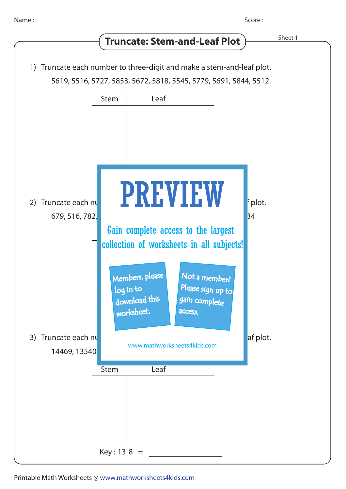